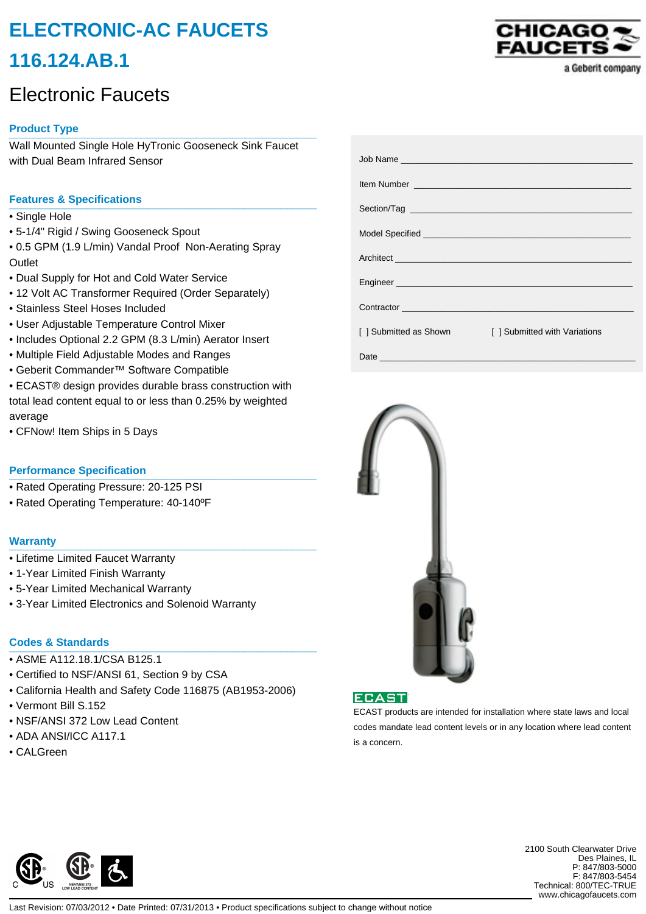# **ELECTRONIC-AC FAUCETS 116.124.AB.1**

# Electronic Faucets

# **Product Type \_\_\_\_\_\_\_\_\_\_\_\_\_\_\_\_\_\_\_\_\_\_\_\_\_\_\_\_\_\_\_\_\_\_\_\_\_\_\_\_\_\_\_\_\_\_\_\_\_\_\_**

Wall Mounted Single Hole HyTronic Gooseneck Sink Faucet with Dual Beam Infrared Sensor

## **Features & Specifications \_\_\_\_\_\_\_\_\_\_\_\_\_\_\_\_\_\_\_\_\_\_\_\_\_\_\_\_\_\_\_\_\_\_\_\_\_\_\_\_\_\_\_\_\_\_\_\_\_\_\_**

- Single Hole
- 5-1/4" Rigid / Swing Gooseneck Spout
- 0.5 GPM (1.9 L/min) Vandal Proof Non-Aerating Spray **Outlet**
- Dual Supply for Hot and Cold Water Service
- 12 Volt AC Transformer Required (Order Separately)
- Stainless Steel Hoses Included
- User Adjustable Temperature Control Mixer
- Includes Optional 2.2 GPM (8.3 L/min) Aerator Insert
- Multiple Field Adjustable Modes and Ranges
- Geberit Commander™ Software Compatible
- ECAST® design provides durable brass construction with total lead content equal to or less than 0.25% by weighted average
- CFNow! Item Ships in 5 Days

### **Performance Specification**

- Rated Operating Pressure: 20-125 PSI
- Rated Operating Temperature: 40-140ºF

#### **Warranty \_\_\_\_\_\_\_\_\_\_\_\_\_\_\_\_\_\_\_\_\_\_\_\_\_\_\_\_\_\_\_\_\_\_\_\_\_\_\_\_\_\_\_\_\_\_\_\_\_\_\_**

- Lifetime Limited Faucet Warranty
- 1-Year Limited Finish Warranty
- 5-Year Limited Mechanical Warranty
- 3-Year Limited Electronics and Solenoid Warranty

## **Codes & Standards \_\_\_\_\_\_\_\_\_\_\_\_\_\_\_\_\_\_\_\_\_\_\_\_\_\_\_\_\_\_\_\_\_\_\_\_\_\_\_\_\_\_\_\_\_\_\_\_\_\_\_**

- ASME A112.18.1/CSA B125.1
- Certified to NSF/ANSI 61, Section 9 by CSA
- California Health and Safety Code 116875 (AB1953-2006)
- Vermont Bill S.152
- NSF/ANSI 372 Low Lead Content
- ADA ANSI/ICC A117.1
- CALGreen



| [ ] Submitted as Shown | [] Submitted with Variations |
|------------------------|------------------------------|
|                        |                              |



**ECAST** 

ECAST products are intended for installation where state laws and local codes mandate lead content levels or in any location where lead content is a concern.



2100 South Clearwater Drive Des Plaines, IL P: 847/803-5000 F: 847/803-5454 Technical: 800/TEC-TRUE www.chicagofaucets.com